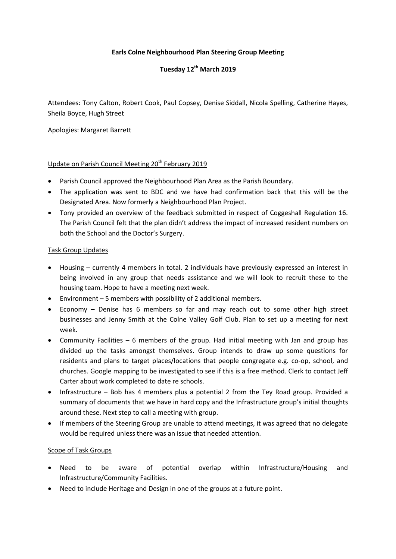## **Earls Colne Neighbourhood Plan Steering Group Meeting**

# **Tuesday 12th March 2019**

Attendees: Tony Calton, Robert Cook, Paul Copsey, Denise Siddall, Nicola Spelling, Catherine Hayes, Sheila Boyce, Hugh Street

Apologies: Margaret Barrett

### Update on Parish Council Meeting 20<sup>th</sup> February 2019

- Parish Council approved the Neighbourhood Plan Area as the Parish Boundary.
- The application was sent to BDC and we have had confirmation back that this will be the Designated Area. Now formerly a Neighbourhood Plan Project.
- Tony provided an overview of the feedback submitted in respect of Coggeshall Regulation 16. The Parish Council felt that the plan didn't address the impact of increased resident numbers on both the School and the Doctor's Surgery.

#### Task Group Updates

- Housing currently 4 members in total. 2 individuals have previously expressed an interest in being involved in any group that needs assistance and we will look to recruit these to the housing team. Hope to have a meeting next week.
- Environment 5 members with possibility of 2 additional members.
- Economy Denise has 6 members so far and may reach out to some other high street businesses and Jenny Smith at the Colne Valley Golf Club. Plan to set up a meeting for next week.
- Community Facilities 6 members of the group. Had initial meeting with Jan and group has divided up the tasks amongst themselves. Group intends to draw up some questions for residents and plans to target places/locations that people congregate e.g. co-op, school, and churches. Google mapping to be investigated to see if this is a free method. Clerk to contact Jeff Carter about work completed to date re schools.
- Infrastructure Bob has 4 members plus a potential 2 from the Tey Road group. Provided a summary of documents that we have in hard copy and the Infrastructure group's initial thoughts around these. Next step to call a meeting with group.
- If members of the Steering Group are unable to attend meetings, it was agreed that no delegate would be required unless there was an issue that needed attention.

#### Scope of Task Groups

- Need to be aware of potential overlap within Infrastructure/Housing and Infrastructure/Community Facilities.
- Need to include Heritage and Design in one of the groups at a future point.